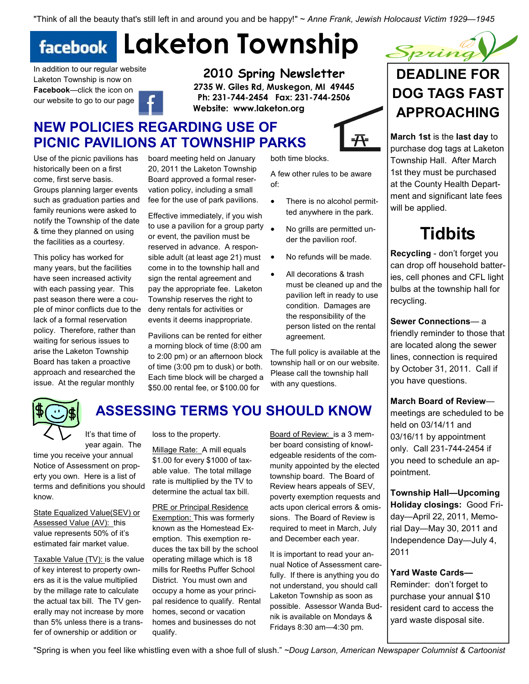"Think of all the beauty that's still left in and around you and be happy!" ~ Anne Frank, Jewish Holocaust Victim 1929—1945

#### Laketon Township **facebook**

board meeting held on January

Effective immediately, if you wish

or event, the pavilion must be reserved in advance. A responsible adult (at least age 21) must come in to the township hall and sign the rental agreement and pay the appropriate fee. Laketon Township reserves the right to deny rentals for activities or events it deems inappropriate. Pavilions can be rented for either a morning block of time (8:00 am to 2:00 pm) or an afternoon block of time (3:00 pm to dusk) or both. Each time block will be charged a \$50.00 rental fee, or \$100.00 for

In addition to our regular website Laketon Township is now on Facebook—click the icon on our website to go to our page

Use of the picnic pavilions has historically been on a first come, first serve basis. Groups planning larger events such as graduation parties and family reunions were asked to notify the Township of the date & time they planned on using the facilities as a courtesy. This policy has worked for many years, but the facilities have seen increased activity with each passing year. This past season there were a couple of minor conflicts due to the lack of a formal reservation policy. Therefore, rather than waiting for serious issues to arise the Laketon Township Board has taken a proactive approach and researched the issue. At the regular monthly

2010 Spring Newsletter 2735 W. Giles Rd, Muskegon, MI 49445 Ph: 231-744-2454 Fax: 231-744-2506 Website: www.laketon.org

## NEW POLICIES REGARDING USE OF PICNIC PAVILIONS AT TOWNSHIP PARKS

20, 2011 the Laketon Township A few other rules to be aware of:

- There is no alcohol permitted anywhere in the park.
- to use a pavilion for a group party • No grills are permitted under the pavilion roof.
	- No refunds will be made.
	- All decorations & trash must be cleaned up and the pavilion left in ready to use condition. Damages are the responsibility of the person listed on the rental agreement.

township hall or on our website. Please call the township hall with any questions.

# both time blocks.

Board approved a formal reservation policy, including a small fee for the use of park pavilions.

- 
- 
- 
- 

The full policy is available at the



## ASSESSING TERMS YOU SHOULD KNOW

It's that time of year again. The

time you receive your annual Notice of Assessment on property you own. Here is a list of terms and definitions you should know.

State Equalized Value(SEV) or Assessed Value (AV): this value represents 50% of it's estimated fair market value.

Taxable Value (TV): is the value of key interest to property owners as it is the value multiplied by the millage rate to calculate the actual tax bill. The TV generally may not increase by more than 5% unless there is a transfer of ownership or addition or

loss to the property.

Millage Rate: A mill equals \$1.00 for every \$1000 of taxable value. The total millage rate is multiplied by the TV to determine the actual tax bill.

**PRE or Principal Residence** 

**Exemption: This was formerly** known as the Homestead Exemption. This exemption reduces the tax bill by the school operating millage which is 18 mills for Reeths Puffer School District. You must own and occupy a home as your principal residence to qualify. Rental homes, second or vacation homes and businesses do not qualify.

Board of Review: is a 3 member board consisting of knowledgeable residents of the community appointed by the elected township board. The Board of Review hears appeals of SEV, poverty exemption requests and acts upon clerical errors & omissions. The Board of Review is required to meet in March, July and December each year.

It is important to read your annual Notice of Assessment carefully. If there is anything you do not understand, you should call Laketon Township as soon as possible. Assessor Wanda Budnik is available on Mondays & Fridays 8:30 am—4:30 pm.



March 1st is the last day to purchase dog tags at Laketon Township Hall. After March 1st they must be purchased at the County Health Department and significant late fees will be applied.

## Tidbits

Recycling - don't forget you can drop off household batteries, cell phones and CFL light bulbs at the township hall for recycling.

Sewer Connections— a friendly reminder to those that are located along the sewer lines, connection is required by October 31, 2011. Call if you have questions.

March Board of Review meetings are scheduled to be held on 03/14/11 and 03/16/11 by appointment only. Call 231-744-2454 if you need to schedule an appointment.

Township Hall—Upcoming Holiday closings: Good Friday—April 22, 2011, Memorial Day—May 30, 2011 and Independence Day—July 4, 2011

Yard Waste Cards— Reminder: don't forget to purchase your annual \$10 resident card to access the yard waste disposal site.

"Spring is when you feel like whistling even with a shoe full of slush." ~Doug Larson, American Newspaper Columnist & Cartoonist